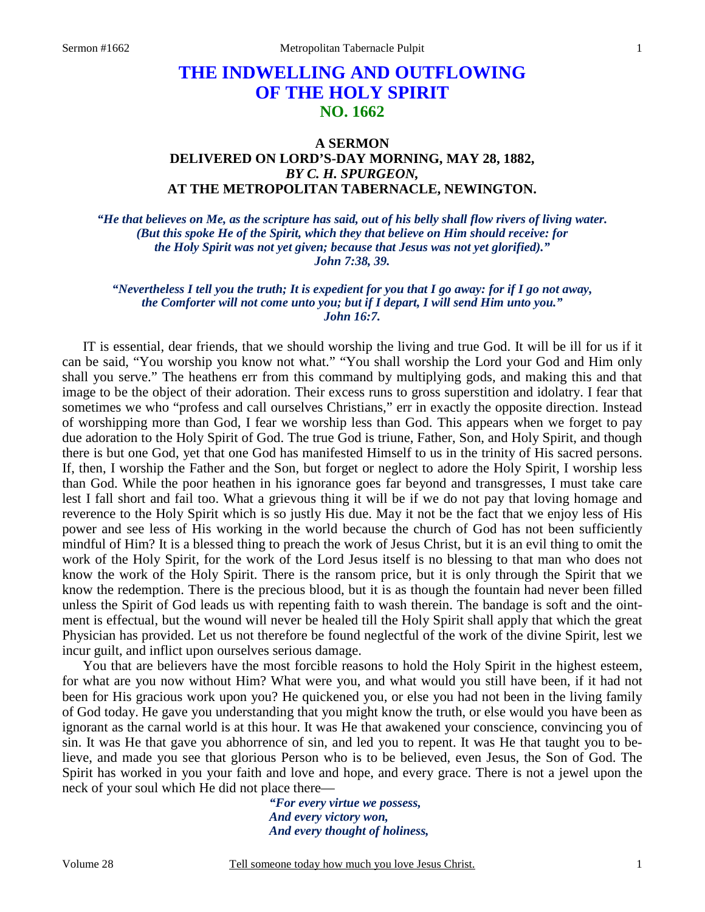# **THE INDWELLING AND OUTFLOWING OF THE HOLY SPIRIT NO. 1662**

## **A SERMON DELIVERED ON LORD'S-DAY MORNING, MAY 28, 1882,**  *BY C. H. SPURGEON,*  **AT THE METROPOLITAN TABERNACLE, NEWINGTON.**

*"He that believes on Me, as the scripture has said, out of his belly shall flow rivers of living water. (But this spoke He of the Spirit, which they that believe on Him should receive: for the Holy Spirit was not yet given; because that Jesus was not yet glorified)." John 7:38, 39.* 

*"Nevertheless I tell you the truth; It is expedient for you that I go away: for if I go not away, the Comforter will not come unto you; but if I depart, I will send Him unto you." John 16:7.* 

IT is essential, dear friends, that we should worship the living and true God. It will be ill for us if it can be said, "You worship you know not what." "You shall worship the Lord your God and Him only shall you serve." The heathens err from this command by multiplying gods, and making this and that image to be the object of their adoration. Their excess runs to gross superstition and idolatry. I fear that sometimes we who "profess and call ourselves Christians," err in exactly the opposite direction. Instead of worshipping more than God, I fear we worship less than God. This appears when we forget to pay due adoration to the Holy Spirit of God. The true God is triune, Father, Son, and Holy Spirit, and though there is but one God, yet that one God has manifested Himself to us in the trinity of His sacred persons. If, then, I worship the Father and the Son, but forget or neglect to adore the Holy Spirit, I worship less than God. While the poor heathen in his ignorance goes far beyond and transgresses, I must take care lest I fall short and fail too. What a grievous thing it will be if we do not pay that loving homage and reverence to the Holy Spirit which is so justly His due. May it not be the fact that we enjoy less of His power and see less of His working in the world because the church of God has not been sufficiently mindful of Him? It is a blessed thing to preach the work of Jesus Christ, but it is an evil thing to omit the work of the Holy Spirit, for the work of the Lord Jesus itself is no blessing to that man who does not know the work of the Holy Spirit. There is the ransom price, but it is only through the Spirit that we know the redemption. There is the precious blood, but it is as though the fountain had never been filled unless the Spirit of God leads us with repenting faith to wash therein. The bandage is soft and the ointment is effectual, but the wound will never be healed till the Holy Spirit shall apply that which the great Physician has provided. Let us not therefore be found neglectful of the work of the divine Spirit, lest we incur guilt, and inflict upon ourselves serious damage.

 You that are believers have the most forcible reasons to hold the Holy Spirit in the highest esteem, for what are you now without Him? What were you, and what would you still have been, if it had not been for His gracious work upon you? He quickened you, or else you had not been in the living family of God today. He gave you understanding that you might know the truth, or else would you have been as ignorant as the carnal world is at this hour. It was He that awakened your conscience, convincing you of sin. It was He that gave you abhorrence of sin, and led you to repent. It was He that taught you to believe, and made you see that glorious Person who is to be believed, even Jesus, the Son of God. The Spirit has worked in you your faith and love and hope, and every grace. There is not a jewel upon the neck of your soul which He did not place there—

> *"For every virtue we possess, And every victory won, And every thought of holiness,*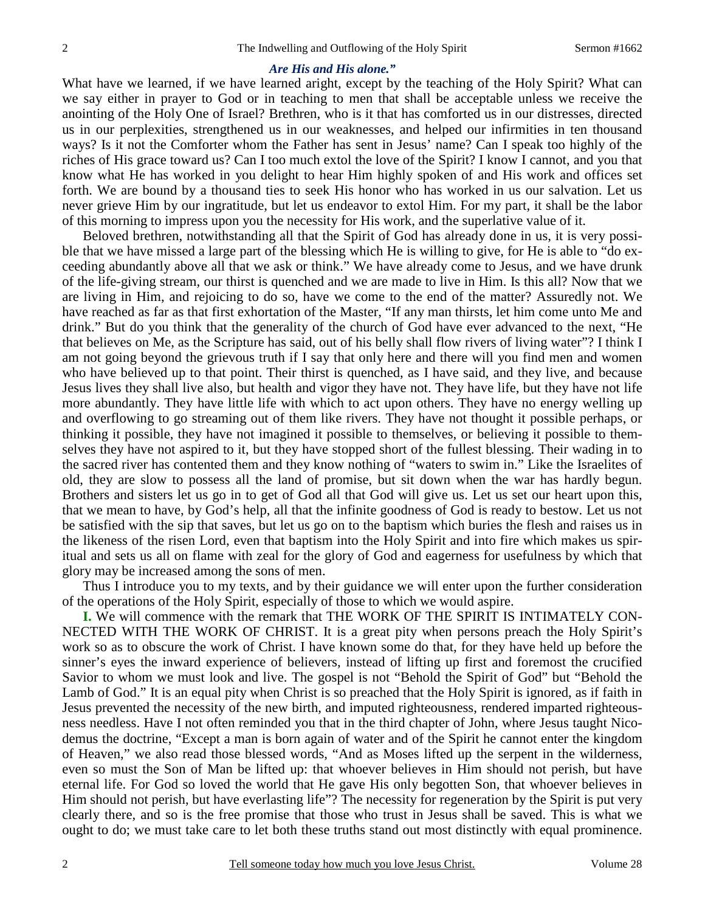#### *Are His and His alone."*

What have we learned, if we have learned aright, except by the teaching of the Holy Spirit? What can we say either in prayer to God or in teaching to men that shall be acceptable unless we receive the anointing of the Holy One of Israel? Brethren, who is it that has comforted us in our distresses, directed us in our perplexities, strengthened us in our weaknesses, and helped our infirmities in ten thousand ways? Is it not the Comforter whom the Father has sent in Jesus' name? Can I speak too highly of the riches of His grace toward us? Can I too much extol the love of the Spirit? I know I cannot, and you that know what He has worked in you delight to hear Him highly spoken of and His work and offices set forth. We are bound by a thousand ties to seek His honor who has worked in us our salvation. Let us never grieve Him by our ingratitude, but let us endeavor to extol Him. For my part, it shall be the labor of this morning to impress upon you the necessity for His work, and the superlative value of it.

 Beloved brethren, notwithstanding all that the Spirit of God has already done in us, it is very possible that we have missed a large part of the blessing which He is willing to give, for He is able to "do exceeding abundantly above all that we ask or think." We have already come to Jesus, and we have drunk of the life-giving stream, our thirst is quenched and we are made to live in Him. Is this all? Now that we are living in Him, and rejoicing to do so, have we come to the end of the matter? Assuredly not. We have reached as far as that first exhortation of the Master, "If any man thirsts, let him come unto Me and drink." But do you think that the generality of the church of God have ever advanced to the next, "He that believes on Me, as the Scripture has said, out of his belly shall flow rivers of living water"? I think I am not going beyond the grievous truth if I say that only here and there will you find men and women who have believed up to that point. Their thirst is quenched, as I have said, and they live, and because Jesus lives they shall live also, but health and vigor they have not. They have life, but they have not life more abundantly. They have little life with which to act upon others. They have no energy welling up and overflowing to go streaming out of them like rivers. They have not thought it possible perhaps, or thinking it possible, they have not imagined it possible to themselves, or believing it possible to themselves they have not aspired to it, but they have stopped short of the fullest blessing. Their wading in to the sacred river has contented them and they know nothing of "waters to swim in." Like the Israelites of old, they are slow to possess all the land of promise, but sit down when the war has hardly begun. Brothers and sisters let us go in to get of God all that God will give us. Let us set our heart upon this, that we mean to have, by God's help, all that the infinite goodness of God is ready to bestow. Let us not be satisfied with the sip that saves, but let us go on to the baptism which buries the flesh and raises us in the likeness of the risen Lord, even that baptism into the Holy Spirit and into fire which makes us spiritual and sets us all on flame with zeal for the glory of God and eagerness for usefulness by which that glory may be increased among the sons of men.

 Thus I introduce you to my texts, and by their guidance we will enter upon the further consideration of the operations of the Holy Spirit, especially of those to which we would aspire.

**I.** We will commence with the remark that THE WORK OF THE SPIRIT IS INTIMATELY CON-NECTED WITH THE WORK OF CHRIST. It is a great pity when persons preach the Holy Spirit's work so as to obscure the work of Christ. I have known some do that, for they have held up before the sinner's eyes the inward experience of believers, instead of lifting up first and foremost the crucified Savior to whom we must look and live. The gospel is not "Behold the Spirit of God" but "Behold the Lamb of God." It is an equal pity when Christ is so preached that the Holy Spirit is ignored, as if faith in Jesus prevented the necessity of the new birth, and imputed righteousness, rendered imparted righteousness needless. Have I not often reminded you that in the third chapter of John, where Jesus taught Nicodemus the doctrine, "Except a man is born again of water and of the Spirit he cannot enter the kingdom of Heaven," we also read those blessed words, "And as Moses lifted up the serpent in the wilderness, even so must the Son of Man be lifted up: that whoever believes in Him should not perish, but have eternal life. For God so loved the world that He gave His only begotten Son, that whoever believes in Him should not perish, but have everlasting life"? The necessity for regeneration by the Spirit is put very clearly there, and so is the free promise that those who trust in Jesus shall be saved. This is what we ought to do; we must take care to let both these truths stand out most distinctly with equal prominence.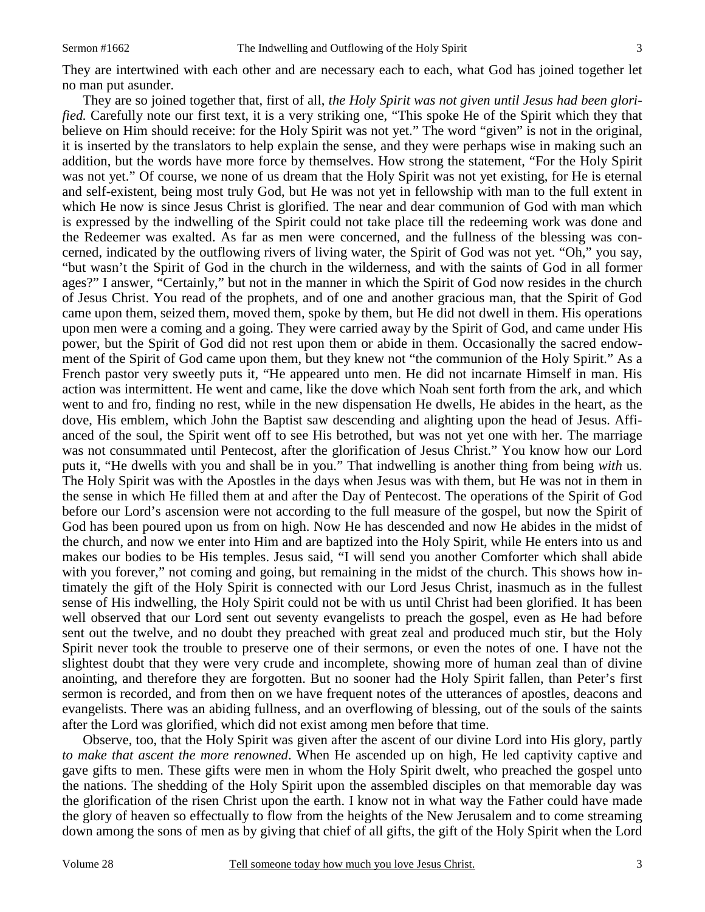They are intertwined with each other and are necessary each to each, what God has joined together let no man put asunder.

 They are so joined together that, first of all, *the Holy Spirit was not given until Jesus had been glorified.* Carefully note our first text, it is a very striking one, "This spoke He of the Spirit which they that believe on Him should receive: for the Holy Spirit was not yet." The word "given" is not in the original, it is inserted by the translators to help explain the sense, and they were perhaps wise in making such an addition, but the words have more force by themselves. How strong the statement, "For the Holy Spirit was not yet." Of course, we none of us dream that the Holy Spirit was not yet existing, for He is eternal and self-existent, being most truly God, but He was not yet in fellowship with man to the full extent in which He now is since Jesus Christ is glorified. The near and dear communion of God with man which is expressed by the indwelling of the Spirit could not take place till the redeeming work was done and the Redeemer was exalted. As far as men were concerned, and the fullness of the blessing was concerned, indicated by the outflowing rivers of living water, the Spirit of God was not yet. "Oh," you say, "but wasn't the Spirit of God in the church in the wilderness, and with the saints of God in all former ages?" I answer, "Certainly," but not in the manner in which the Spirit of God now resides in the church of Jesus Christ. You read of the prophets, and of one and another gracious man, that the Spirit of God came upon them, seized them, moved them, spoke by them, but He did not dwell in them. His operations upon men were a coming and a going. They were carried away by the Spirit of God, and came under His power, but the Spirit of God did not rest upon them or abide in them. Occasionally the sacred endowment of the Spirit of God came upon them, but they knew not "the communion of the Holy Spirit." As a French pastor very sweetly puts it, "He appeared unto men. He did not incarnate Himself in man. His action was intermittent. He went and came, like the dove which Noah sent forth from the ark, and which went to and fro, finding no rest, while in the new dispensation He dwells, He abides in the heart, as the dove, His emblem, which John the Baptist saw descending and alighting upon the head of Jesus. Affianced of the soul, the Spirit went off to see His betrothed, but was not yet one with her. The marriage was not consummated until Pentecost, after the glorification of Jesus Christ." You know how our Lord puts it, "He dwells with you and shall be in you." That indwelling is another thing from being *with* us. The Holy Spirit was with the Apostles in the days when Jesus was with them, but He was not in them in the sense in which He filled them at and after the Day of Pentecost. The operations of the Spirit of God before our Lord's ascension were not according to the full measure of the gospel, but now the Spirit of God has been poured upon us from on high. Now He has descended and now He abides in the midst of the church, and now we enter into Him and are baptized into the Holy Spirit, while He enters into us and makes our bodies to be His temples. Jesus said, "I will send you another Comforter which shall abide with you forever," not coming and going, but remaining in the midst of the church. This shows how intimately the gift of the Holy Spirit is connected with our Lord Jesus Christ, inasmuch as in the fullest sense of His indwelling, the Holy Spirit could not be with us until Christ had been glorified. It has been well observed that our Lord sent out seventy evangelists to preach the gospel, even as He had before sent out the twelve, and no doubt they preached with great zeal and produced much stir, but the Holy Spirit never took the trouble to preserve one of their sermons, or even the notes of one. I have not the slightest doubt that they were very crude and incomplete, showing more of human zeal than of divine anointing, and therefore they are forgotten. But no sooner had the Holy Spirit fallen, than Peter's first sermon is recorded, and from then on we have frequent notes of the utterances of apostles, deacons and evangelists. There was an abiding fullness, and an overflowing of blessing, out of the souls of the saints after the Lord was glorified, which did not exist among men before that time.

 Observe, too, that the Holy Spirit was given after the ascent of our divine Lord into His glory, partly *to make that ascent the more renowned*. When He ascended up on high, He led captivity captive and gave gifts to men. These gifts were men in whom the Holy Spirit dwelt, who preached the gospel unto the nations. The shedding of the Holy Spirit upon the assembled disciples on that memorable day was the glorification of the risen Christ upon the earth. I know not in what way the Father could have made the glory of heaven so effectually to flow from the heights of the New Jerusalem and to come streaming down among the sons of men as by giving that chief of all gifts, the gift of the Holy Spirit when the Lord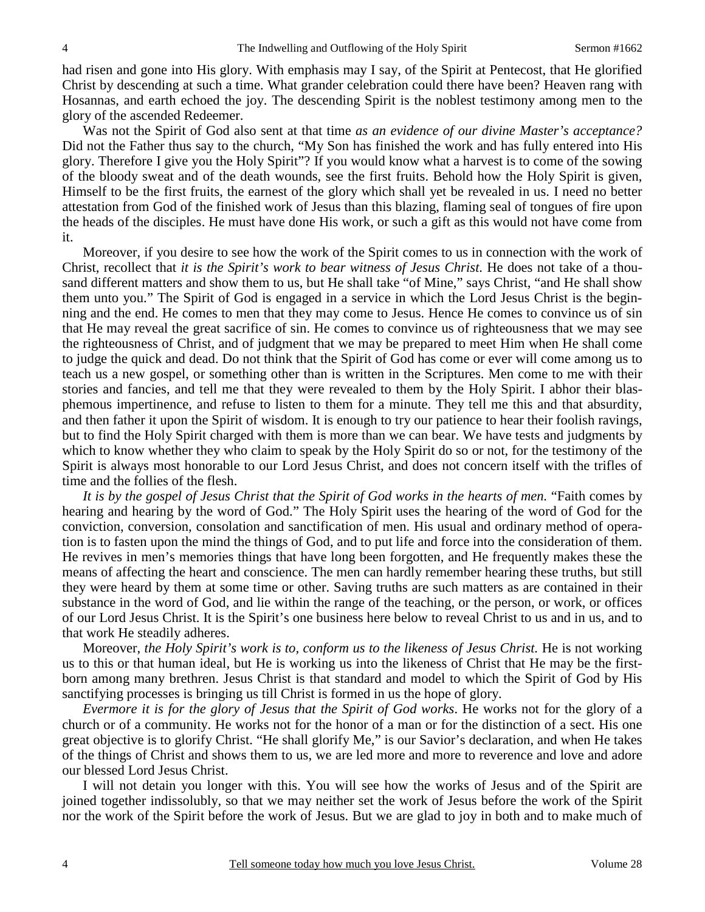had risen and gone into His glory. With emphasis may I say, of the Spirit at Pentecost, that He glorified Christ by descending at such a time. What grander celebration could there have been? Heaven rang with Hosannas, and earth echoed the joy. The descending Spirit is the noblest testimony among men to the glory of the ascended Redeemer.

 Was not the Spirit of God also sent at that time *as an evidence of our divine Master's acceptance?* Did not the Father thus say to the church, "My Son has finished the work and has fully entered into His glory. Therefore I give you the Holy Spirit"? If you would know what a harvest is to come of the sowing of the bloody sweat and of the death wounds, see the first fruits. Behold how the Holy Spirit is given, Himself to be the first fruits, the earnest of the glory which shall yet be revealed in us. I need no better attestation from God of the finished work of Jesus than this blazing, flaming seal of tongues of fire upon the heads of the disciples. He must have done His work, or such a gift as this would not have come from it.

 Moreover, if you desire to see how the work of the Spirit comes to us in connection with the work of Christ, recollect that *it is the Spirit's work to bear witness of Jesus Christ*. He does not take of a thousand different matters and show them to us, but He shall take "of Mine," says Christ, "and He shall show them unto you." The Spirit of God is engaged in a service in which the Lord Jesus Christ is the beginning and the end. He comes to men that they may come to Jesus. Hence He comes to convince us of sin that He may reveal the great sacrifice of sin. He comes to convince us of righteousness that we may see the righteousness of Christ, and of judgment that we may be prepared to meet Him when He shall come to judge the quick and dead. Do not think that the Spirit of God has come or ever will come among us to teach us a new gospel, or something other than is written in the Scriptures. Men come to me with their stories and fancies, and tell me that they were revealed to them by the Holy Spirit. I abhor their blasphemous impertinence, and refuse to listen to them for a minute. They tell me this and that absurdity, and then father it upon the Spirit of wisdom. It is enough to try our patience to hear their foolish ravings, but to find the Holy Spirit charged with them is more than we can bear. We have tests and judgments by which to know whether they who claim to speak by the Holy Spirit do so or not, for the testimony of the Spirit is always most honorable to our Lord Jesus Christ, and does not concern itself with the trifles of time and the follies of the flesh.

*It is by the gospel of Jesus Christ that the Spirit of God works in the hearts of men.* "Faith comes by hearing and hearing by the word of God." The Holy Spirit uses the hearing of the word of God for the conviction, conversion, consolation and sanctification of men. His usual and ordinary method of operation is to fasten upon the mind the things of God, and to put life and force into the consideration of them. He revives in men's memories things that have long been forgotten, and He frequently makes these the means of affecting the heart and conscience. The men can hardly remember hearing these truths, but still they were heard by them at some time or other. Saving truths are such matters as are contained in their substance in the word of God, and lie within the range of the teaching, or the person, or work, or offices of our Lord Jesus Christ. It is the Spirit's one business here below to reveal Christ to us and in us, and to that work He steadily adheres.

 Moreover, *the Holy Spirit's work is to, conform us to the likeness of Jesus Christ.* He is not working us to this or that human ideal, but He is working us into the likeness of Christ that He may be the firstborn among many brethren. Jesus Christ is that standard and model to which the Spirit of God by His sanctifying processes is bringing us till Christ is formed in us the hope of glory.

*Evermore it is for the glory of Jesus that the Spirit of God works*. He works not for the glory of a church or of a community. He works not for the honor of a man or for the distinction of a sect. His one great objective is to glorify Christ. "He shall glorify Me," is our Savior's declaration, and when He takes of the things of Christ and shows them to us, we are led more and more to reverence and love and adore our blessed Lord Jesus Christ.

 I will not detain you longer with this. You will see how the works of Jesus and of the Spirit are joined together indissolubly, so that we may neither set the work of Jesus before the work of the Spirit nor the work of the Spirit before the work of Jesus. But we are glad to joy in both and to make much of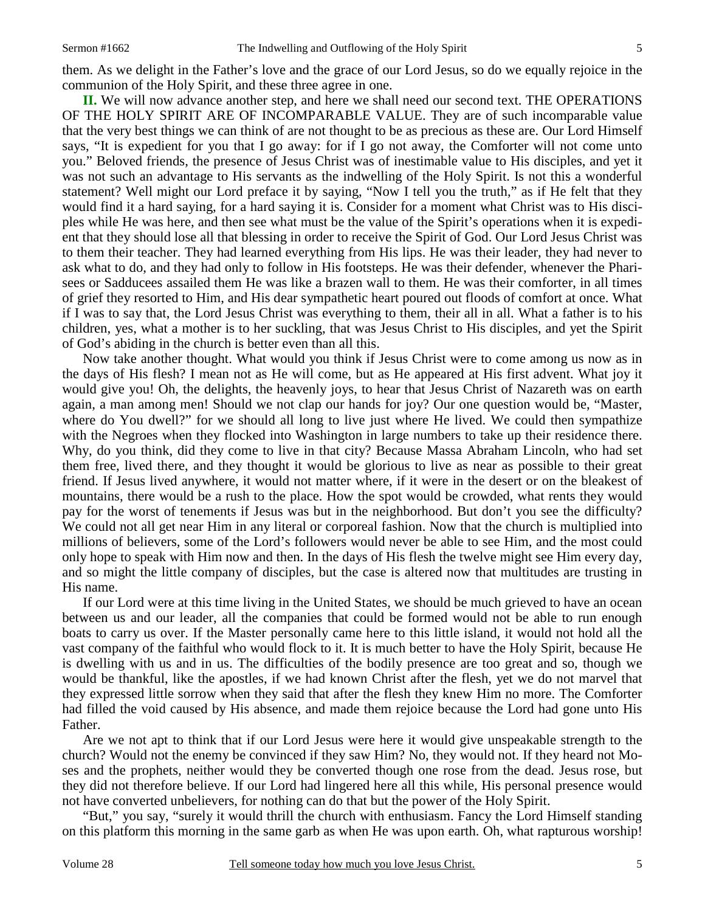them. As we delight in the Father's love and the grace of our Lord Jesus, so do we equally rejoice in the communion of the Holy Spirit, and these three agree in one.

**II.** We will now advance another step, and here we shall need our second text. THE OPERATIONS OF THE HOLY SPIRIT ARE OF INCOMPARABLE VALUE. They are of such incomparable value that the very best things we can think of are not thought to be as precious as these are. Our Lord Himself says, "It is expedient for you that I go away: for if I go not away, the Comforter will not come unto you." Beloved friends, the presence of Jesus Christ was of inestimable value to His disciples, and yet it was not such an advantage to His servants as the indwelling of the Holy Spirit. Is not this a wonderful statement? Well might our Lord preface it by saying, "Now I tell you the truth," as if He felt that they would find it a hard saying, for a hard saying it is. Consider for a moment what Christ was to His disciples while He was here, and then see what must be the value of the Spirit's operations when it is expedient that they should lose all that blessing in order to receive the Spirit of God. Our Lord Jesus Christ was to them their teacher. They had learned everything from His lips. He was their leader, they had never to ask what to do, and they had only to follow in His footsteps. He was their defender, whenever the Pharisees or Sadducees assailed them He was like a brazen wall to them. He was their comforter, in all times of grief they resorted to Him, and His dear sympathetic heart poured out floods of comfort at once. What if I was to say that, the Lord Jesus Christ was everything to them, their all in all. What a father is to his children, yes, what a mother is to her suckling, that was Jesus Christ to His disciples, and yet the Spirit of God's abiding in the church is better even than all this.

 Now take another thought. What would you think if Jesus Christ were to come among us now as in the days of His flesh? I mean not as He will come, but as He appeared at His first advent. What joy it would give you! Oh, the delights, the heavenly joys, to hear that Jesus Christ of Nazareth was on earth again, a man among men! Should we not clap our hands for joy? Our one question would be, "Master, where do You dwell?" for we should all long to live just where He lived. We could then sympathize with the Negroes when they flocked into Washington in large numbers to take up their residence there. Why, do you think, did they come to live in that city? Because Massa Abraham Lincoln, who had set them free, lived there, and they thought it would be glorious to live as near as possible to their great friend. If Jesus lived anywhere, it would not matter where, if it were in the desert or on the bleakest of mountains, there would be a rush to the place. How the spot would be crowded, what rents they would pay for the worst of tenements if Jesus was but in the neighborhood. But don't you see the difficulty? We could not all get near Him in any literal or corporeal fashion. Now that the church is multiplied into millions of believers, some of the Lord's followers would never be able to see Him, and the most could only hope to speak with Him now and then. In the days of His flesh the twelve might see Him every day, and so might the little company of disciples, but the case is altered now that multitudes are trusting in His name.

 If our Lord were at this time living in the United States, we should be much grieved to have an ocean between us and our leader, all the companies that could be formed would not be able to run enough boats to carry us over. If the Master personally came here to this little island, it would not hold all the vast company of the faithful who would flock to it. It is much better to have the Holy Spirit, because He is dwelling with us and in us. The difficulties of the bodily presence are too great and so, though we would be thankful, like the apostles, if we had known Christ after the flesh, yet we do not marvel that they expressed little sorrow when they said that after the flesh they knew Him no more. The Comforter had filled the void caused by His absence, and made them rejoice because the Lord had gone unto His Father.

 Are we not apt to think that if our Lord Jesus were here it would give unspeakable strength to the church? Would not the enemy be convinced if they saw Him? No, they would not. If they heard not Moses and the prophets, neither would they be converted though one rose from the dead. Jesus rose, but they did not therefore believe. If our Lord had lingered here all this while, His personal presence would not have converted unbelievers, for nothing can do that but the power of the Holy Spirit.

 "But," you say, "surely it would thrill the church with enthusiasm. Fancy the Lord Himself standing on this platform this morning in the same garb as when He was upon earth. Oh, what rapturous worship!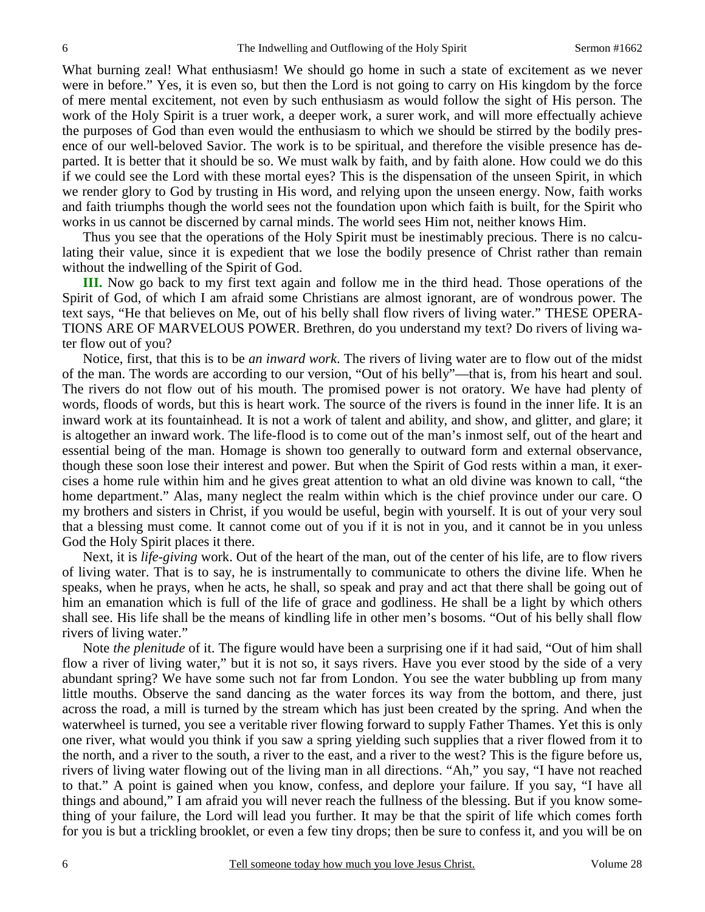What burning zeal! What enthusiasm! We should go home in such a state of excitement as we never were in before." Yes, it is even so, but then the Lord is not going to carry on His kingdom by the force of mere mental excitement, not even by such enthusiasm as would follow the sight of His person. The work of the Holy Spirit is a truer work, a deeper work, a surer work, and will more effectually achieve the purposes of God than even would the enthusiasm to which we should be stirred by the bodily presence of our well-beloved Savior. The work is to be spiritual, and therefore the visible presence has departed. It is better that it should be so. We must walk by faith, and by faith alone. How could we do this if we could see the Lord with these mortal eyes? This is the dispensation of the unseen Spirit, in which we render glory to God by trusting in His word, and relying upon the unseen energy. Now, faith works and faith triumphs though the world sees not the foundation upon which faith is built, for the Spirit who works in us cannot be discerned by carnal minds. The world sees Him not, neither knows Him.

 Thus you see that the operations of the Holy Spirit must be inestimably precious. There is no calculating their value, since it is expedient that we lose the bodily presence of Christ rather than remain without the indwelling of the Spirit of God.

**III.** Now go back to my first text again and follow me in the third head. Those operations of the Spirit of God, of which I am afraid some Christians are almost ignorant, are of wondrous power. The text says, "He that believes on Me, out of his belly shall flow rivers of living water." THESE OPERA-TIONS ARE OF MARVELOUS POWER. Brethren, do you understand my text? Do rivers of living water flow out of you?

 Notice, first, that this is to be *an inward work*. The rivers of living water are to flow out of the midst of the man. The words are according to our version, "Out of his belly"—that is, from his heart and soul. The rivers do not flow out of his mouth. The promised power is not oratory. We have had plenty of words, floods of words, but this is heart work. The source of the rivers is found in the inner life. It is an inward work at its fountainhead. It is not a work of talent and ability, and show, and glitter, and glare; it is altogether an inward work. The life-flood is to come out of the man's inmost self, out of the heart and essential being of the man. Homage is shown too generally to outward form and external observance, though these soon lose their interest and power. But when the Spirit of God rests within a man, it exercises a home rule within him and he gives great attention to what an old divine was known to call, "the home department." Alas, many neglect the realm within which is the chief province under our care. O my brothers and sisters in Christ, if you would be useful, begin with yourself. It is out of your very soul that a blessing must come. It cannot come out of you if it is not in you, and it cannot be in you unless God the Holy Spirit places it there.

 Next, it is *life-giving* work. Out of the heart of the man, out of the center of his life, are to flow rivers of living water. That is to say, he is instrumentally to communicate to others the divine life. When he speaks, when he prays, when he acts, he shall, so speak and pray and act that there shall be going out of him an emanation which is full of the life of grace and godliness. He shall be a light by which others shall see. His life shall be the means of kindling life in other men's bosoms. "Out of his belly shall flow rivers of living water."

 Note *the plenitude* of it. The figure would have been a surprising one if it had said, "Out of him shall flow a river of living water," but it is not so, it says rivers. Have you ever stood by the side of a very abundant spring? We have some such not far from London. You see the water bubbling up from many little mouths. Observe the sand dancing as the water forces its way from the bottom, and there, just across the road, a mill is turned by the stream which has just been created by the spring. And when the waterwheel is turned, you see a veritable river flowing forward to supply Father Thames. Yet this is only one river, what would you think if you saw a spring yielding such supplies that a river flowed from it to the north, and a river to the south, a river to the east, and a river to the west? This is the figure before us, rivers of living water flowing out of the living man in all directions. "Ah," you say, "I have not reached to that." A point is gained when you know, confess, and deplore your failure. If you say, "I have all things and abound," I am afraid you will never reach the fullness of the blessing. But if you know something of your failure, the Lord will lead you further. It may be that the spirit of life which comes forth for you is but a trickling brooklet, or even a few tiny drops; then be sure to confess it, and you will be on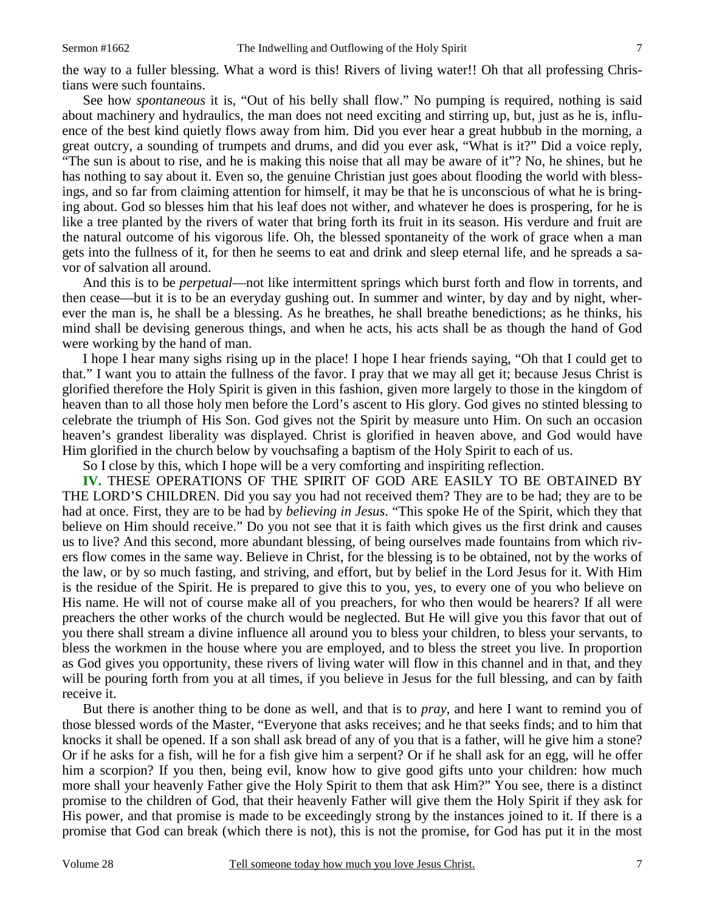the way to a fuller blessing. What a word is this! Rivers of living water!! Oh that all professing Christians were such fountains.

 See how *spontaneous* it is, "Out of his belly shall flow." No pumping is required, nothing is said about machinery and hydraulics, the man does not need exciting and stirring up, but, just as he is, influence of the best kind quietly flows away from him. Did you ever hear a great hubbub in the morning, a great outcry, a sounding of trumpets and drums, and did you ever ask, "What is it?" Did a voice reply, "The sun is about to rise, and he is making this noise that all may be aware of it"? No, he shines, but he has nothing to say about it. Even so, the genuine Christian just goes about flooding the world with blessings, and so far from claiming attention for himself, it may be that he is unconscious of what he is bringing about. God so blesses him that his leaf does not wither, and whatever he does is prospering, for he is like a tree planted by the rivers of water that bring forth its fruit in its season. His verdure and fruit are the natural outcome of his vigorous life. Oh, the blessed spontaneity of the work of grace when a man gets into the fullness of it, for then he seems to eat and drink and sleep eternal life, and he spreads a savor of salvation all around.

 And this is to be *perpetual*—not like intermittent springs which burst forth and flow in torrents, and then cease—but it is to be an everyday gushing out. In summer and winter, by day and by night, wherever the man is, he shall be a blessing. As he breathes, he shall breathe benedictions; as he thinks, his mind shall be devising generous things, and when he acts, his acts shall be as though the hand of God were working by the hand of man.

 I hope I hear many sighs rising up in the place! I hope I hear friends saying, "Oh that I could get to that." I want you to attain the fullness of the favor. I pray that we may all get it; because Jesus Christ is glorified therefore the Holy Spirit is given in this fashion, given more largely to those in the kingdom of heaven than to all those holy men before the Lord's ascent to His glory. God gives no stinted blessing to celebrate the triumph of His Son. God gives not the Spirit by measure unto Him. On such an occasion heaven's grandest liberality was displayed. Christ is glorified in heaven above, and God would have Him glorified in the church below by vouchsafing a baptism of the Holy Spirit to each of us.

So I close by this, which I hope will be a very comforting and inspiriting reflection.

**IV.** THESE OPERATIONS OF THE SPIRIT OF GOD ARE EASILY TO BE OBTAINED BY THE LORD'S CHILDREN. Did you say you had not received them? They are to be had; they are to be had at once. First, they are to be had by *believing in Jesus*. "This spoke He of the Spirit, which they that believe on Him should receive." Do you not see that it is faith which gives us the first drink and causes us to live? And this second, more abundant blessing, of being ourselves made fountains from which rivers flow comes in the same way. Believe in Christ, for the blessing is to be obtained, not by the works of the law, or by so much fasting, and striving, and effort, but by belief in the Lord Jesus for it. With Him is the residue of the Spirit. He is prepared to give this to you, yes, to every one of you who believe on His name. He will not of course make all of you preachers, for who then would be hearers? If all were preachers the other works of the church would be neglected. But He will give you this favor that out of you there shall stream a divine influence all around you to bless your children, to bless your servants, to bless the workmen in the house where you are employed, and to bless the street you live. In proportion as God gives you opportunity, these rivers of living water will flow in this channel and in that, and they will be pouring forth from you at all times, if you believe in Jesus for the full blessing, and can by faith receive it.

 But there is another thing to be done as well, and that is to *pray*, and here I want to remind you of those blessed words of the Master, "Everyone that asks receives; and he that seeks finds; and to him that knocks it shall be opened. If a son shall ask bread of any of you that is a father, will he give him a stone? Or if he asks for a fish, will he for a fish give him a serpent? Or if he shall ask for an egg, will he offer him a scorpion? If you then, being evil, know how to give good gifts unto your children: how much more shall your heavenly Father give the Holy Spirit to them that ask Him?" You see, there is a distinct promise to the children of God, that their heavenly Father will give them the Holy Spirit if they ask for His power, and that promise is made to be exceedingly strong by the instances joined to it. If there is a promise that God can break (which there is not), this is not the promise, for God has put it in the most